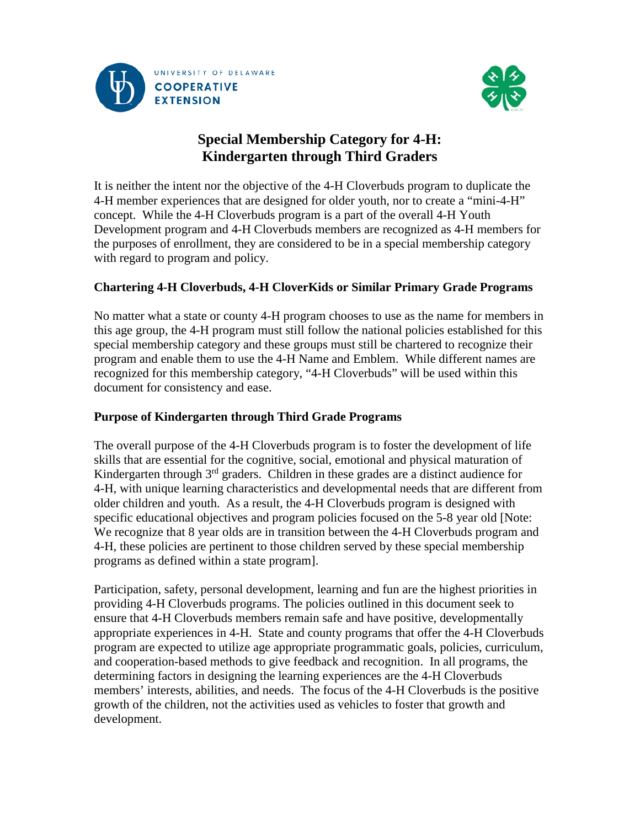



# **Special Membership Category for 4-H: Kindergarten through Third Graders**

It is neither the intent nor the objective of the 4-H Cloverbuds program to duplicate the 4-H member experiences that are designed for older youth, nor to create a "mini-4-H" concept. While the 4-H Cloverbuds program is a part of the overall 4-H Youth Development program and 4-H Cloverbuds members are recognized as 4-H members for the purposes of enrollment, they are considered to be in a special membership category with regard to program and policy.

# **Chartering 4-H Cloverbuds, 4-H CloverKids or Similar Primary Grade Programs**

No matter what a state or county 4-H program chooses to use as the name for members in this age group, the 4-H program must still follow the national policies established for this special membership category and these groups must still be chartered to recognize their program and enable them to use the 4-H Name and Emblem. While different names are recognized for this membership category, "4-H Cloverbuds" will be used within this document for consistency and ease.

# **Purpose of Kindergarten through Third Grade Programs**

The overall purpose of the 4-H Cloverbuds program is to foster the development of life skills that are essential for the cognitive, social, emotional and physical maturation of Kindergarten through 3rd graders. Children in these grades are a distinct audience for 4-H, with unique learning characteristics and developmental needs that are different from older children and youth. As a result, the 4-H Cloverbuds program is designed with specific educational objectives and program policies focused on the 5-8 year old [Note: We recognize that 8 year olds are in transition between the 4-H Cloverbuds program and 4-H, these policies are pertinent to those children served by these special membership programs as defined within a state program].

Participation, safety, personal development, learning and fun are the highest priorities in providing 4-H Cloverbuds programs. The policies outlined in this document seek to ensure that 4-H Cloverbuds members remain safe and have positive, developmentally appropriate experiences in 4-H. State and county programs that offer the 4-H Cloverbuds program are expected to utilize age appropriate programmatic goals, policies, curriculum, and cooperation-based methods to give feedback and recognition. In all programs, the determining factors in designing the learning experiences are the 4-H Cloverbuds members' interests, abilities, and needs. The focus of the 4-H Cloverbuds is the positive growth of the children, not the activities used as vehicles to foster that growth and development.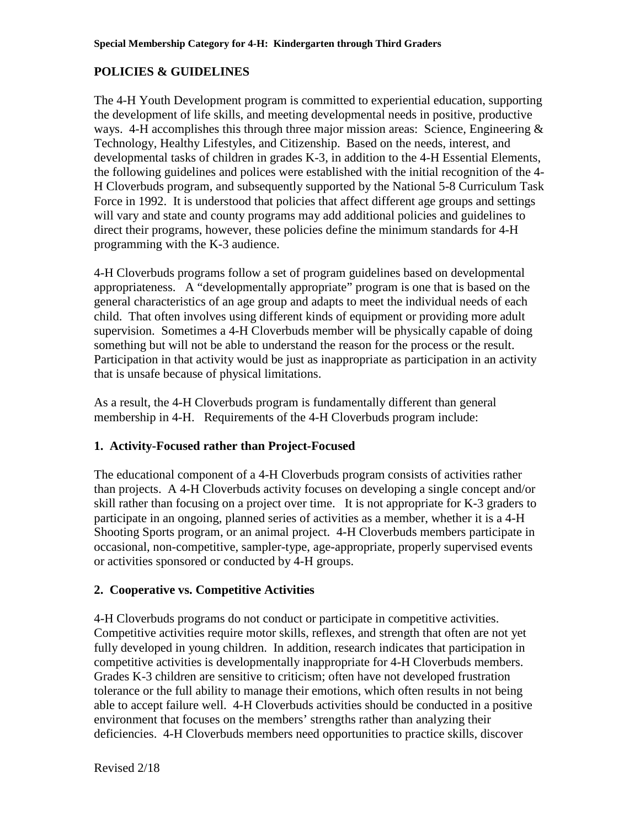### **POLICIES & GUIDELINES**

The 4-H Youth Development program is committed to experiential education, supporting the development of life skills, and meeting developmental needs in positive, productive ways. 4-H accomplishes this through three major mission areas: Science, Engineering  $\&$ Technology, Healthy Lifestyles, and Citizenship. Based on the needs, interest, and developmental tasks of children in grades K-3, in addition to the 4-H Essential Elements, the following guidelines and polices were established with the initial recognition of the 4- H Cloverbuds program, and subsequently supported by the National 5-8 Curriculum Task Force in 1992. It is understood that policies that affect different age groups and settings will vary and state and county programs may add additional policies and guidelines to direct their programs, however, these policies define the minimum standards for 4-H programming with the K-3 audience.

4-H Cloverbuds programs follow a set of program guidelines based on developmental appropriateness. A "developmentally appropriate" program is one that is based on the general characteristics of an age group and adapts to meet the individual needs of each child. That often involves using different kinds of equipment or providing more adult supervision. Sometimes a 4-H Cloverbuds member will be physically capable of doing something but will not be able to understand the reason for the process or the result. Participation in that activity would be just as inappropriate as participation in an activity that is unsafe because of physical limitations.

As a result, the 4-H Cloverbuds program is fundamentally different than general membership in 4-H. Requirements of the 4-H Cloverbuds program include:

#### **1. Activity-Focused rather than Project-Focused**

The educational component of a 4-H Cloverbuds program consists of activities rather than projects. A 4-H Cloverbuds activity focuses on developing a single concept and/or skill rather than focusing on a project over time. It is not appropriate for K-3 graders to participate in an ongoing, planned series of activities as a member, whether it is a 4-H Shooting Sports program, or an animal project. 4-H Cloverbuds members participate in occasional, non-competitive, sampler-type, age-appropriate, properly supervised events or activities sponsored or conducted by 4-H groups.

#### **2. Cooperative vs. Competitive Activities**

4-H Cloverbuds programs do not conduct or participate in competitive activities. Competitive activities require motor skills, reflexes, and strength that often are not yet fully developed in young children. In addition, research indicates that participation in competitive activities is developmentally inappropriate for 4-H Cloverbuds members. Grades K-3 children are sensitive to criticism; often have not developed frustration tolerance or the full ability to manage their emotions, which often results in not being able to accept failure well. 4-H Cloverbuds activities should be conducted in a positive environment that focuses on the members' strengths rather than analyzing their deficiencies. 4-H Cloverbuds members need opportunities to practice skills, discover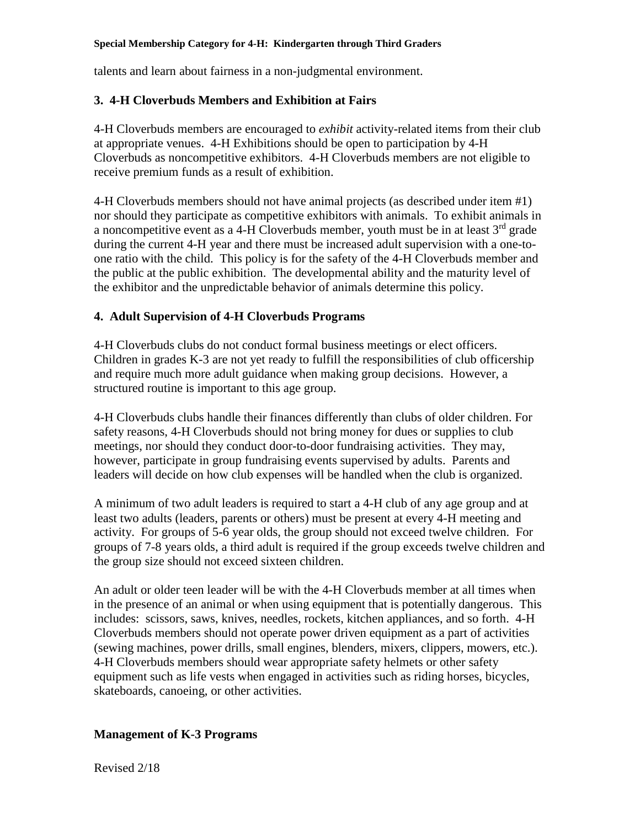#### **Special Membership Category for 4-H: Kindergarten through Third Graders**

talents and learn about fairness in a non-judgmental environment.

### **3. 4-H Cloverbuds Members and Exhibition at Fairs**

4-H Cloverbuds members are encouraged to *exhibit* activity-related items from their club at appropriate venues. 4-H Exhibitions should be open to participation by 4-H Cloverbuds as noncompetitive exhibitors. 4-H Cloverbuds members are not eligible to receive premium funds as a result of exhibition.

4-H Cloverbuds members should not have animal projects (as described under item #1) nor should they participate as competitive exhibitors with animals. To exhibit animals in a noncompetitive event as a 4-H Cloverbuds member, youth must be in at least  $3<sup>rd</sup>$  grade during the current 4-H year and there must be increased adult supervision with a one-toone ratio with the child. This policy is for the safety of the 4-H Cloverbuds member and the public at the public exhibition. The developmental ability and the maturity level of the exhibitor and the unpredictable behavior of animals determine this policy.

### **4. Adult Supervision of 4-H Cloverbuds Programs**

4-H Cloverbuds clubs do not conduct formal business meetings or elect officers. Children in grades K-3 are not yet ready to fulfill the responsibilities of club officership and require much more adult guidance when making group decisions. However, a structured routine is important to this age group.

4-H Cloverbuds clubs handle their finances differently than clubs of older children. For safety reasons, 4-H Cloverbuds should not bring money for dues or supplies to club meetings, nor should they conduct door-to-door fundraising activities. They may, however, participate in group fundraising events supervised by adults. Parents and leaders will decide on how club expenses will be handled when the club is organized.

A minimum of two adult leaders is required to start a 4-H club of any age group and at least two adults (leaders, parents or others) must be present at every 4-H meeting and activity. For groups of 5-6 year olds, the group should not exceed twelve children. For groups of 7-8 years olds, a third adult is required if the group exceeds twelve children and the group size should not exceed sixteen children.

An adult or older teen leader will be with the 4-H Cloverbuds member at all times when in the presence of an animal or when using equipment that is potentially dangerous. This includes: scissors, saws, knives, needles, rockets, kitchen appliances, and so forth. 4-H Cloverbuds members should not operate power driven equipment as a part of activities (sewing machines, power drills, small engines, blenders, mixers, clippers, mowers, etc.). 4-H Cloverbuds members should wear appropriate safety helmets or other safety equipment such as life vests when engaged in activities such as riding horses, bicycles, skateboards, canoeing, or other activities.

#### **Management of K-3 Programs**

Revised 2/18